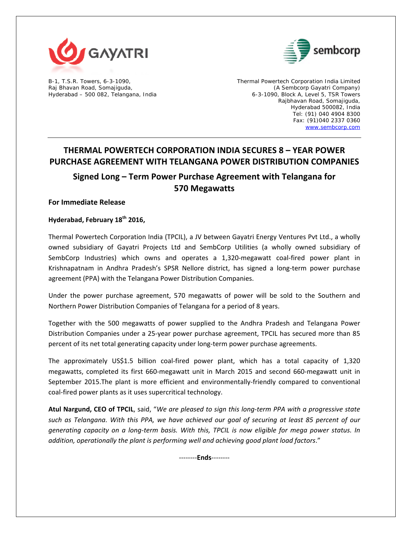



B-1, T.S.R. Towers, 6-3-1090, Thermal Powertech Corporation India Limited Raj Bhavan Road, Somajiguda, (A Sembcorp Gayatri Company) Hyderabad – 500 082, Telangana, India 1999 (1999) 6-3-1090, Block A, Level 5, TSR Towers Rajbhavan Road, Somajiguda, Hyderabad 500082, India Tel: (91) 040 4904 8300 Fax: (91)040 2337 0360 www.sembcorp.com

# **THERMAL POWERTECH CORPORATION INDIA SECURES 8 – YEAR POWER PURCHASE AGREEMENT WITH TELANGANA POWER DISTRIBUTION COMPANIES**

**Signed Long – Term Power Purchase Agreement with Telangana for 570 Megawatts**

**For Immediate Release**

**Hyderabad, February 18th 2016,**

Thermal Powertech Corporation India (TPCIL), a JV between Gayatri Energy Ventures Pvt Ltd., a wholly owned subsidiary of Gayatri Projects Ltd and SembCorp Utilities (a wholly owned subsidiary of SembCorp Industries) which owns and operates a 1,320-megawatt coal-fired power plant in Krishnapatnam in Andhra Pradesh's SPSR Nellore district, has signed a long‐term power purchase agreement (PPA) with the Telangana Power Distribution Companies.

Under the power purchase agreement, 570 megawatts of power will be sold to the Southern and Northern Power Distribution Companies of Telangana for a period of 8 years.

Together with the 500 megawatts of power supplied to the Andhra Pradesh and Telangana Power Distribution Companies under a 25‐year power purchase agreement, TPCIL has secured more than 85 percent of its net total generating capacity under long‐term power purchase agreements.

The approximately US\$1.5 billion coal-fired power plant, which has a total capacity of 1,320 megawatts, completed its first 660-megawatt unit in March 2015 and second 660-megawatt unit in September 2015.The plant is more efficient and environmentally‐friendly compared to conventional coal‐fired power plants as it uses supercritical technology.

Atul Nargund, CEO of TPCIL, said, "We are pleased to sign this long-term PPA with a progressive state such as Telangana. With this PPA, we have achieved our goal of securing at least 85 percent of our generating capacity on a long-term basis. With this, TPCIL is now eligible for mega power status. In *addition, operationally the plant is performing well and achieving good plant load factors*."

‐‐‐‐‐‐‐‐**Ends**‐‐‐‐‐‐‐‐